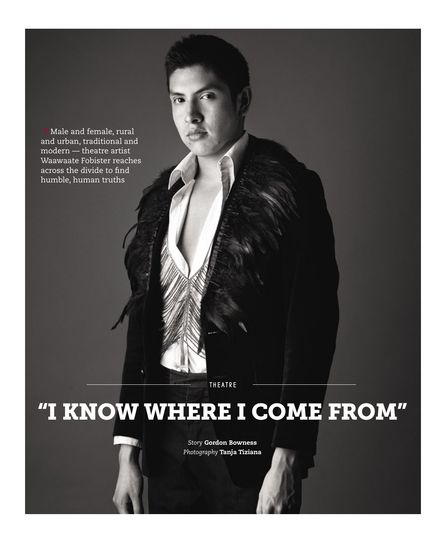Male and female, rural and urban, traditional and modern — theatre artist Waawaate Fobister reaches across the divide to find humble, human truths

**THEATRE** 

## "I know where I come from"

*Story* Gordon Bowness *Photography* Tanja Tiziana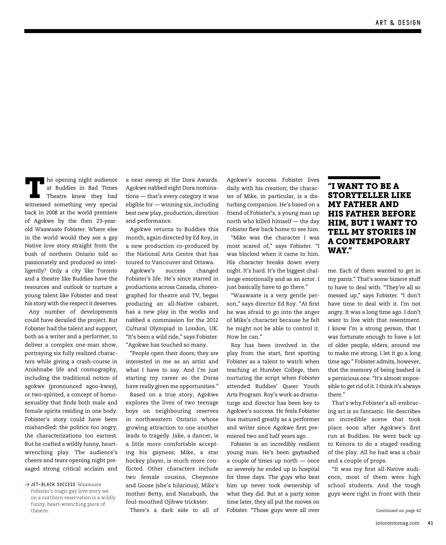The opening night audience<br>
at Buddies in Bad Times<br>
Theatre knew they had at Buddies in Bad Times witnessed something very special back in 2008 at the world premiere of Agokwe by the then 23-yearold Waawaate Fobister. Where else in the world would they see a gay Native love story straight from the bush of northern Ontario told so passionately and produced so intelligently? Only a city like Toronto and a theatre like Buddies have the resources and outlook to nurture a young talent like Fobister and treat his story with the respect it deserves.

Any number of developments could have derailed the project. But Fobister had the talent and support, both as a writer and a performer, to deliver a complex one-man show, portraying six fully realized characters while giving a crash-course in Anishnabe life and cosmography, including the traditional notion of agokwe (pronounced agoo-kway), or two-spirited, a concept of homosexuality that finds both male and female spirits residing in one body. Fobister's story could have been mishandled: the politics too angry, the characterizations too earnest. But he crafted a wildly funny, heartwrenching play. The audience's cheers and tears opening night presaged strong critical acclaim and

→ JET-BLACK SUCCESS Waawaate

Fobister's tragic gay love story set on a northern reservation is a wildly funny, heart-wrenching piece of

a near sweep at the Dora Awards. Agokwe nabbed eight Dora nominations — that's every category it was eligible for — winning six, including best new play, production, direction and performance.

Agokwe returns to Buddies this month, again directed by Ed Roy, in a new production co-produced by the National Arts Centre that has toured to Vancouver and Ottawa.

Agokwe's success changed Fobister's life. He's since starred in productions across Canada, choreographed for theatre and TV, began producing an all-Native cabaret, has a new play in the works and nabbed a commission for the 2012 Cultural Olympiad in London, UK. "It's been a wild ride," says Fobister. "Agokwe has touched so many.

"People open their doors; they are interested in me as an artist and what I have to say. And I'm just starting my career so the Doras have really given me opportunities."

Based on a true story, Agokwe explores the lives of two teenage boys on neighbouring reserves in northwestern Ontario whose growing attraction to one another leads to tragedy. Jake, a dancer, is a little more comfortable accepting his gayness; Mike, a star hockey player, is much more conflicted. Other characters include two female cousins, Cheyenne and Goose (she's hilarious), Mike's mother Betty, and Nanabush, the foul-mouthed Ojibwe trickster.

There's a dark side to all of

Agokwe's success. Fobister lives daily with his creation; the character of Mike, in particular, is a disturbing companion. He's based on a friend of Fobister's, a young man up north who killed himself — the day Fobister flew back home to see him.

"Mike was the character I was most scared of," says Fobister. "I was blocked when it came to him. His character breaks down every night. It's hard. It's the biggest challenge emotionally and as an actor. I just basically have to go there."

"Waawaate is a very gentle person," says director Ed Roy. "At first he was afraid to go into the anger of Mike's character because he felt he might not be able to control it. Now he can."

Roy has been involved in the play from the start, first spotting Fobister as a talent to watch when teaching at Humber College, then nurturing the script when Fobister attended Buddies' Queer Youth Arts Program. Roy's work as dramaturge and director has been key to Agokwe's success. He feels Fobister has matured greatly as a performer and writer since Agokwe first premiered two and half years ago.

Fobister is an incredibly resilient young man. He's been gaybashed a couple of times up north — once so severely he ended up in hospital for three days. The guys who beat him up never took ownership of what they did. But at a party some time later, they all put the moves on Fobister. "Those guys were all over theatre. Continued on page 42

## "I want to be a storyteller like my father and his father before him, but I want to tell my stories in a contemporary way."

me. Each of them wanted to get in my pants." That's some bizarre stuff to have to deal with. "They're all so messed up," says Fobister. "I don't have time to deal with it. I'm not angry. It was a long time ago. I don't want to live with that resentment. I know I'm a strong person, that I was fortunate enough to have a lot of older people, elders, around me to make me strong. I let it go a long time ago." Fobister admits, however, that the memory of being bashed is a pernicious one. "It's almost impossible to get rid of it. I think it's always there."

That's why Fobister's all-embracing art is so fantastic. He describes an incredible scene that took place soon after Agokwe's first run at Buddies. He went back up to Kenora to do a staged reading of the play. All he had was a chair and a couple of props.

"It was my first all-Native audience, most of them were high school students. And the tough guys were right in front with their